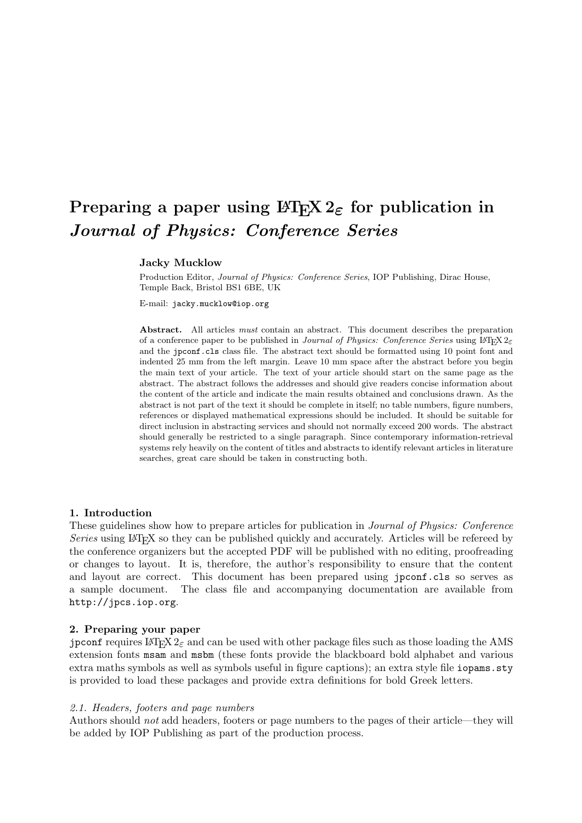# **Preparing a paper using**  $\text{HTr} X 2_\epsilon$  **for publication in** *Journal of Physics: Conference Series*

## **Jacky Mucklow**

Production Editor, Journal of Physics: Conference Series, IOP Publishing, Dirac House, Temple Back, Bristol BS1 6BE, UK

E-mail: jacky.mucklow@iop.org

**Abstract.** All articles must contain an abstract. This document describes the preparation of a conference paper to be published in Journal of Physics: Conference Series using  $\text{ETr} \times 2\varepsilon$ and the jpconf.cls class file. The abstract text should be formatted using 10 point font and indented 25 mm from the left margin. Leave 10 mm space after the abstract before you begin the main text of your article. The text of your article should start on the same page as the abstract. The abstract follows the addresses and should give readers concise information about the content of the article and indicate the main results obtained and conclusions drawn. As the abstract is not part of the text it should be complete in itself; no table numbers, figure numbers, references or displayed mathematical expressions should be included. It should be suitable for direct inclusion in abstracting services and should not normally exceed 200 words. The abstract should generally be restricted to a single paragraph. Since contemporary information-retrieval systems rely heavily on the content of titles and abstracts to identify relevant articles in literature searches, great care should be taken in constructing both.

## **1. Introduction**

These guidelines show how to prepare articles for publication in *Journal of Physics: Conference Series* using LATEX so they can be published quickly and accurately. Articles will be refereed by the conference organizers but the accepted PDF will be published with no editing, proofreading or changes to layout. It is, therefore, the author's responsibility to ensure that the content and layout are correct. This document has been prepared using jpconf.cls so serves as a sample document. The class file and accompanying documentation are available from http://jpcs.iop.org.

## **2. Preparing your paper**

jpconf requires  $\text{Lipx } 2_{\varepsilon}$  and can be used with other package files such as those loading the AMS extension fonts msam and msbm (these fonts provide the blackboard bold alphabet and various extra maths symbols as well as symbols useful in figure captions); an extra style file iopams.sty is provided to load these packages and provide extra definitions for bold Greek letters.

#### *2.1. Headers, footers and page numbers*

Authors should *not* add headers, footers or page numbers to the pages of their article—they will be added by IOP Publishing as part of the production process.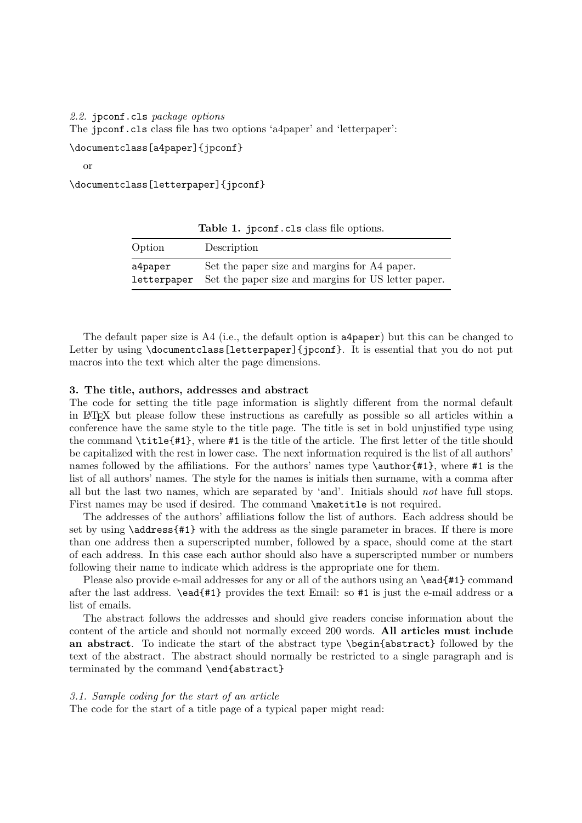*2.2.* jpconf.cls *package options* The jpconf.cls class file has two options 'a4paper' and 'letterpaper':

\documentclass[a4paper]{jpconf}

or

\documentclass[letterpaper]{jpconf}

Table 1. jpconf.cls class file options. Option Description a4paper Set the paper size and margins for A4 paper. letterpaper Set the paper size and margins for US letter paper.

The default paper size is A4 (i.e., the default option is a4paper) but this can be changed to Letter by using \documentclass[letterpaper]{jpconf}. It is essential that you do not put

#### **3. The title, authors, addresses and abstract**

macros into the text which alter the page dimensions.

The code for setting the title page information is slightly different from the normal default in LATEX but please follow these instructions as carefully as possible so all articles within a conference have the same style to the title page. The title is set in bold unjustified type using the command \title{#1}, where #1 is the title of the article. The first letter of the title should be capitalized with the rest in lower case. The next information required is the list of all authors' names followed by the affiliations. For the authors' names type **\author{#1}**, where #1 is the list of all authors' names. The style for the names is initials then surname, with a comma after all but the last two names, which are separated by 'and'. Initials should *not* have full stops. First names may be used if desired. The command \maketitle is not required.

The addresses of the authors' affiliations follow the list of authors. Each address should be set by using \address{#1} with the address as the single parameter in braces. If there is more than one address then a superscripted number, followed by a space, should come at the start of each address. In this case each author should also have a superscripted number or numbers following their name to indicate which address is the appropriate one for them.

Please also provide e-mail addresses for any or all of the authors using an **\ead**{#1} command after the last address. \ead{#1} provides the text Email: so #1 is just the e-mail address or a list of emails.

The abstract follows the addresses and should give readers concise information about the content of the article and should not normally exceed 200 words. **All articles must include an abstract**. To indicate the start of the abstract type \begin{abstract} followed by the text of the abstract. The abstract should normally be restricted to a single paragraph and is terminated by the command \end{abstract}

#### *3.1. Sample coding for the start of an article*

The code for the start of a title page of a typical paper might read: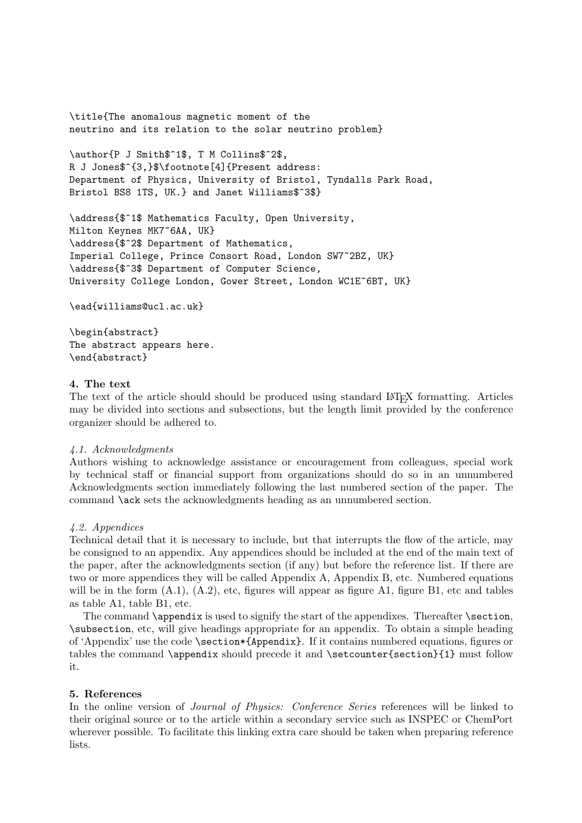\title{The anomalous magnetic moment of the neutrino and its relation to the solar neutrino problem}

\author{P J Smith\$ˆ1\$, T M Collins\$ˆ2\$, R J Jones\$^{3,}\$\footnote[4]{Present address: Department of Physics, University of Bristol, Tyndalls Park Road, Bristol BS8 1TS, UK.} and Janet Williams\$ˆ3\$}

\address{\$ˆ1\$ Mathematics Faculty, Open University, Milton Keynes MK7˜6AA, UK} \address{\$ˆ2\$ Department of Mathematics, Imperial College, Prince Consort Road, London SW7˜2BZ, UK} \address{\$ˆ3\$ Department of Computer Science, University College London, Gower Street, London WC1E˜6BT, UK}

\ead{williams@ucl.ac.uk}

\begin{abstract} The abstract appears here. \end{abstract}

## **4. The text**

The text of the article should should be produced using standard LAT<sub>EX</sub> formatting. Articles may be divided into sections and subsections, but the length limit provided by the conference organizer should be adhered to.

## *4.1. Acknowledgments*

Authors wishing to acknowledge assistance or encouragement from colleagues, special work by technical staff or financial support from organizations should do so in an unnumbered Acknowledgments section immediately following the last numbered section of the paper. The command \ack sets the acknowledgments heading as an unnumbered section.

## *4.2. Appendices*

Technical detail that it is necessary to include, but that interrupts the flow of the article, may be consigned to an appendix. Any appendices should be included at the end of the main text of the paper, after the acknowledgments section (if any) but before the reference list. If there are two or more appendices they will be called Appendix A, Appendix B, etc. Numbered equations will be in the form  $(A.1)$ ,  $(A.2)$ , etc, figures will appear as figure A1, figure B1, etc and tables as table A1, table B1, etc.

The command **\appendix** is used to signify the start of the appendixes. Thereafter **\section**, \subsection, etc, will give headings appropriate for an appendix. To obtain a simple heading of 'Appendix' use the code \section\*{Appendix}. If it contains numbered equations, figures or tables the command \appendix should precede it and \setcounter{section}{1} must follow it.

# **5. References**

In the online version of *Journal of Physics: Conference Series* references will be linked to their original source or to the article within a secondary service such as INSPEC or ChemPort wherever possible. To facilitate this linking extra care should be taken when preparing reference lists.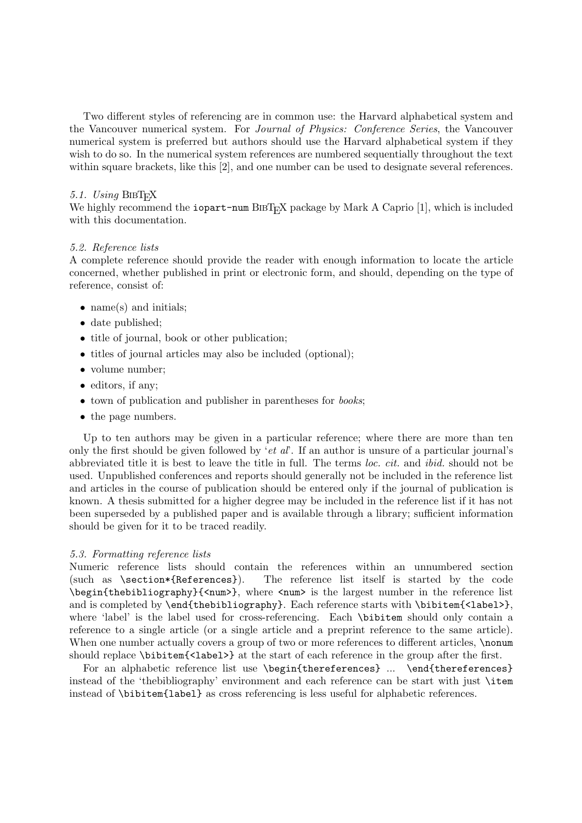Two different styles of referencing are in common use: the Harvard alphabetical system and the Vancouver numerical system. For *Journal of Physics: Conference Series*, the Vancouver numerical system is preferred but authors should use the Harvard alphabetical system if they wish to do so. In the numerical system references are numbered sequentially throughout the text within square brackets, like this [2], and one number can be used to designate several references.

## 5.1. Using BIBT<sub>F</sub>X

We highly recommend the iopart-num  $BIBT<sub>F</sub>X$  package by Mark A Caprio [1], which is included with this documentation.

## *5.2. Reference lists*

A complete reference should provide the reader with enough information to locate the article concerned, whether published in print or electronic form, and should, depending on the type of reference, consist of:

- name(s) and initials;
- date published;
- title of journal, book or other publication;
- titles of journal articles may also be included (optional);
- volume number;
- editors, if any;
- town of publication and publisher in parentheses for *books*;
- the page numbers.

Up to ten authors may be given in a particular reference; where there are more than ten only the first should be given followed by '*et al*'. If an author is unsure of a particular journal's abbreviated title it is best to leave the title in full. The terms *loc. cit.* and *ibid.* should not be used. Unpublished conferences and reports should generally not be included in the reference list and articles in the course of publication should be entered only if the journal of publication is known. A thesis submitted for a higher degree may be included in the reference list if it has not been superseded by a published paper and is available through a library; sufficient information should be given for it to be traced readily.

## *5.3. Formatting reference lists*

Numeric reference lists should contain the references within an unnumbered section (such as \section\*{References}). The reference list itself is started by the code \begin{thebibliography}{<num>}, where <num> is the largest number in the reference list and is completed by **\end{thebibliography}**. Each reference starts with **\bibitem{<label>**}, where 'label' is the label used for cross-referencing. Each \bibitem should only contain a reference to a single article (or a single article and a preprint reference to the same article). When one number actually covers a group of two or more references to different articles, \nonum should replace \bibitem{<label>} at the start of each reference in the group after the first.

For an alphabetic reference list use \begin{thereferences} ... \end{thereferences} instead of the 'thebibliography' environment and each reference can be start with just \item instead of \bibitem{label} as cross referencing is less useful for alphabetic references.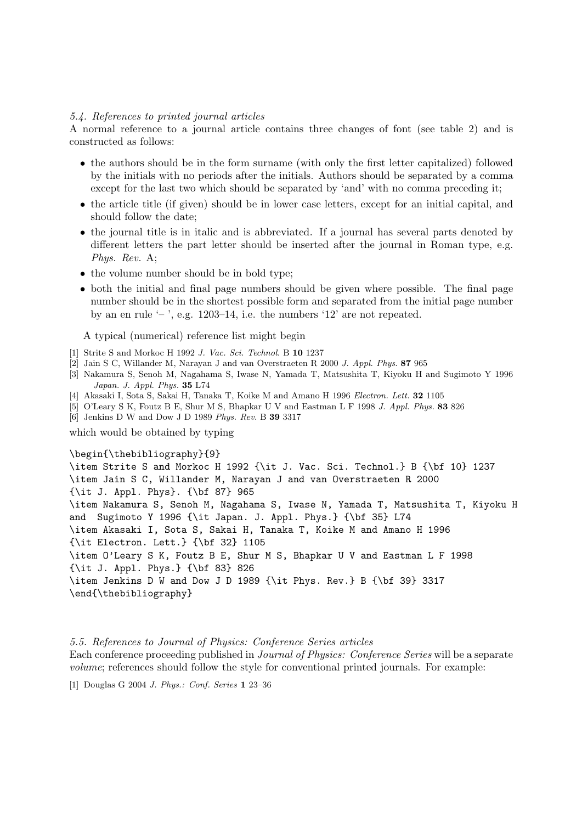#### *5.4. References to printed journal articles*

A normal reference to a journal article contains three changes of font (see table 2) and is constructed as follows:

- the authors should be in the form surname (with only the first letter capitalized) followed by the initials with no periods after the initials. Authors should be separated by a comma except for the last two which should be separated by 'and' with no comma preceding it;
- the article title (if given) should be in lower case letters, except for an initial capital, and should follow the date;
- the journal title is in italic and is abbreviated. If a journal has several parts denoted by different letters the part letter should be inserted after the journal in Roman type, e.g. *Phys. Rev.* A;
- the volume number should be in bold type;
- both the initial and final page numbers should be given where possible. The final page number should be in the shortest possible form and separated from the initial page number by an en rule  $-$ , e.g. 1203–14, i.e. the numbers  $12'$  are not repeated.

A typical (numerical) reference list might begin

- [1] Strite S and Morkoc H 1992 J. Vac. Sci. Technol. B **10** 1237
- [2] Jain S C, Willander M, Narayan J and van Overstraeten R 2000 J. Appl. Phys. **87** 965
- [3] Nakamura S, Senoh M, Nagahama S, Iwase N, Yamada T, Matsushita T, Kiyoku H and Sugimoto Y 1996 Japan. J. Appl. Phys. **35** L74
- [4] Akasaki I, Sota S, Sakai H, Tanaka T, Koike M and Amano H 1996 Electron. Lett. **32** 1105
- [5] O'Leary S K, Foutz B E, Shur M S, Bhapkar U V and Eastman L F 1998 J. Appl. Phys. **83** 826
- [6] Jenkins D W and Dow J D 1989 Phys. Rev. B **39** 3317

which would be obtained by typing

#### \begin{\thebibliography}{9}

\item Strite S and Morkoc H 1992 {\it J. Vac. Sci. Technol.} B {\bf 10} 1237 \item Jain S C, Willander M, Narayan J and van Overstraeten R 2000 {\it J. Appl. Phys}. {\bf 87} 965 \item Nakamura S, Senoh M, Nagahama S, Iwase N, Yamada T, Matsushita T, Kiyoku H and Sugimoto Y 1996 {\it Japan. J. Appl. Phys.} {\bf 35} L74 \item Akasaki I, Sota S, Sakai H, Tanaka T, Koike M and Amano H 1996 {\it Electron. Lett.} {\bf 32} 1105 \item O'Leary S K, Foutz B E, Shur M S, Bhapkar U V and Eastman L F 1998 {\it J. Appl. Phys.} {\bf 83} 826 \item Jenkins D W and Dow J D 1989 {\it Phys. Rev.} B {\bf 39} 3317 \end{\thebibliography}

*5.5. References to Journal of Physics: Conference Series articles* Each conference proceeding published in *Journal of Physics: Conference Series* will be a separate *volume*; references should follow the style for conventional printed journals. For example:

[1] Douglas G 2004 J. Phys.: Conf. Series **1** 23–36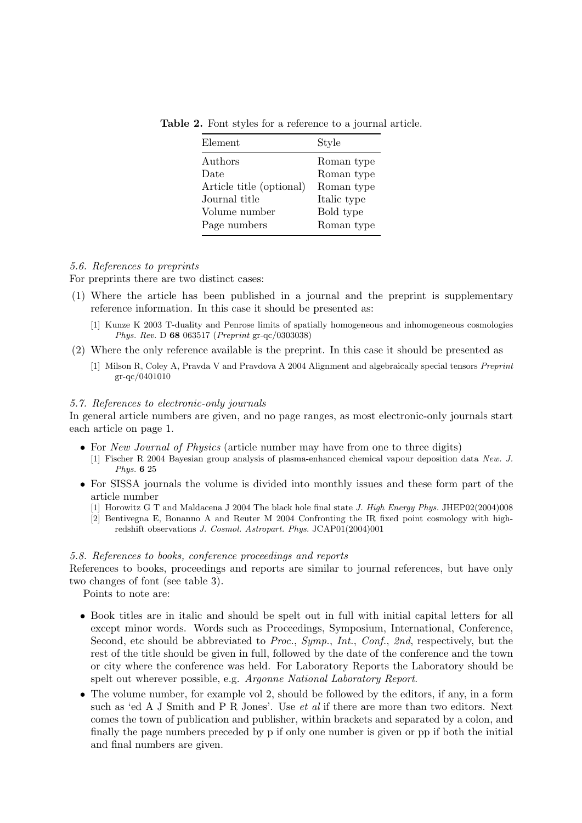|  |  |  |  | Table 2. Font styles for a reference to a journal article. |  |  |  |
|--|--|--|--|------------------------------------------------------------|--|--|--|
|--|--|--|--|------------------------------------------------------------|--|--|--|

| Element                  | Style       |
|--------------------------|-------------|
| Authors                  | Roman type  |
| Date                     | Roman type  |
| Article title (optional) | Roman type  |
| Journal title            | Italic type |
| Volume number            | Bold type   |
| Page numbers             | Roman type  |

## *5.6. References to preprints*

For preprints there are two distinct cases:

- (1) Where the article has been published in a journal and the preprint is supplementary reference information. In this case it should be presented as:
	- [1] Kunze K 2003 T-duality and Penrose limits of spatially homogeneous and inhomogeneous cosmologies Phys. Rev. D **68** 063517 (Preprint gr-qc/0303038)
- (2) Where the only reference available is the preprint. In this case it should be presented as
	- [1] Milson R, Coley A, Pravda V and Pravdova A 2004 Alignment and algebraically special tensors Preprint gr-qc/0401010

#### *5.7. References to electronic-only journals*

In general article numbers are given, and no page ranges, as most electronic-only journals start each article on page 1.

- For *New Journal of Physics* (article number may have from one to three digits)
	- [1] Fischer R 2004 Bayesian group analysis of plasma-enhanced chemical vapour deposition data New. J. Phys. **6** 25
- For SISSA journals the volume is divided into monthly issues and these form part of the article number
	- [1] Horowitz G T and Maldacena J 2004 The black hole final state J. High Energy Phys. JHEP02(2004)008
	- [2] Bentivegna E, Bonanno A and Reuter M 2004 Confronting the IR fixed point cosmology with highredshift observations J. Cosmol. Astropart. Phys. JCAP01(2004)001

#### *5.8. References to books, conference proceedings and reports*

References to books, proceedings and reports are similar to journal references, but have only two changes of font (see table 3).

Points to note are:

- Book titles are in italic and should be spelt out in full with initial capital letters for all except minor words. Words such as Proceedings, Symposium, International, Conference, Second, etc should be abbreviated to *Proc.*, *Symp.*, *Int.*, *Conf.*, *2nd*, respectively, but the rest of the title should be given in full, followed by the date of the conference and the town or city where the conference was held. For Laboratory Reports the Laboratory should be spelt out wherever possible, e.g. *Argonne National Laboratory Report*.
- The volume number, for example vol 2, should be followed by the editors, if any, in a form such as 'ed A J Smith and P R Jones'. Use *et al* if there are more than two editors. Next comes the town of publication and publisher, within brackets and separated by a colon, and finally the page numbers preceded by p if only one number is given or pp if both the initial and final numbers are given.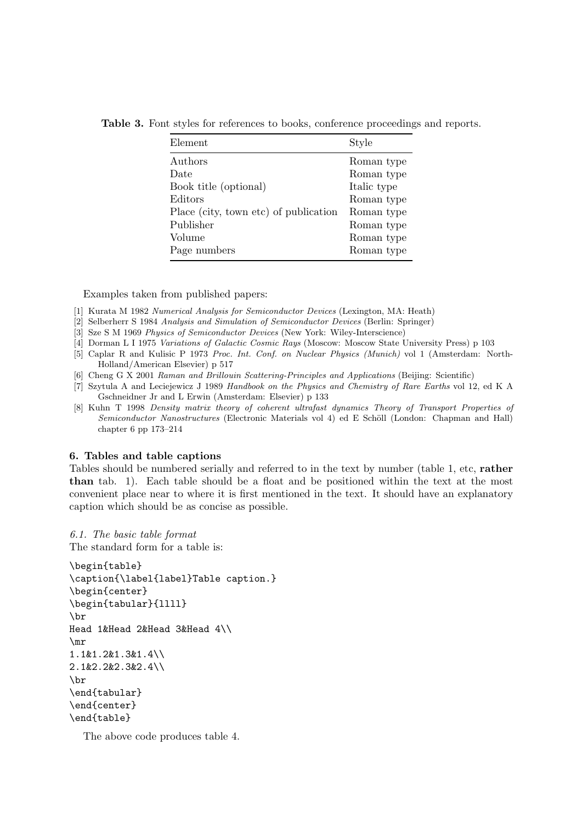**Table 3.** Font styles for references to books, conference proceedings and reports.

| Element                               | Style       |
|---------------------------------------|-------------|
| Authors                               | Roman type  |
| Date                                  | Roman type  |
| Book title (optional)                 | Italic type |
| Editors                               | Roman type  |
| Place (city, town etc) of publication | Roman type  |
| Publisher                             | Roman type  |
| Volume                                | Roman type  |
| Page numbers                          | Roman type  |

Examples taken from published papers:

- [1] Kurata M 1982 Numerical Analysis for Semiconductor Devices (Lexington, MA: Heath)
- [2] Selberherr S 1984 Analysis and Simulation of Semiconductor Devices (Berlin: Springer)
- [3] Sze S M 1969 Physics of Semiconductor Devices (New York: Wiley-Interscience)
- [4] Dorman L I 1975 Variations of Galactic Cosmic Rays (Moscow: Moscow State University Press) p 103
- [5] Caplar R and Kulisic P 1973 Proc. Int. Conf. on Nuclear Physics (Munich) vol 1 (Amsterdam: North-Holland/American Elsevier) p 517
- [6] Cheng G X 2001 Raman and Brillouin Scattering-Principles and Applications (Beijing: Scientific)
- [7] Szytula A and Leciejewicz J 1989 Handbook on the Physics and Chemistry of Rare Earths vol 12, ed K A Gschneidner Jr and L Erwin (Amsterdam: Elsevier) p 133
- [8] Kuhn T 1998 Density matrix theory of coherent ultrafast dynamics Theory of Transport Properties of Semiconductor Nanostructures (Electronic Materials vol 4) ed E Schöll (London: Chapman and Hall) chapter 6 pp 173–214

#### **6. Tables and table captions**

Tables should be numbered serially and referred to in the text by number (table 1, etc, **rather than** tab. 1). Each table should be a float and be positioned within the text at the most convenient place near to where it is first mentioned in the text. It should have an explanatory caption which should be as concise as possible.

*6.1. The basic table format* The standard form for a table is:

```
\begin{table}
\caption{\label{label}Table caption.}
\begin{center}
\begin{tabular}{llll}
\br
Head 1&Head 2&Head 3&Head 4\\
\mr
1.1&1.2&1.3&1.4\\
2.1&2.2&2.3&2.4\\
\br
\end{tabular}
\end{center}
\end{table}
```
The above code produces table 4.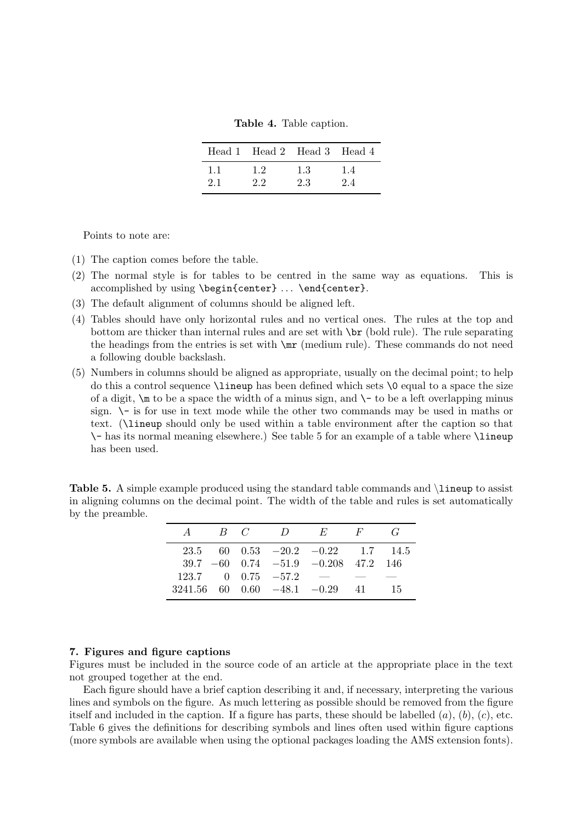**Table 4.** Table caption.

|     |    | Head 1 Head 2 Head 3 Head 4 |    |
|-----|----|-----------------------------|----|
| 1.1 | 12 | 1.3                         | 14 |
| 21  | 22 | 23                          | 24 |

Points to note are:

- (1) The caption comes before the table.
- (2) The normal style is for tables to be centred in the same way as equations. This is accomplished by using \begin{center} ... \end{center}.
- (3) The default alignment of columns should be aligned left.
- (4) Tables should have only horizontal rules and no vertical ones. The rules at the top and bottom are thicker than internal rules and are set with  $\bar{\sigma}$  (bold rule). The rule separating the headings from the entries is set with \mr (medium rule). These commands do not need a following double backslash.
- (5) Numbers in columns should be aligned as appropriate, usually on the decimal point; to help do this a control sequence \lineup has been defined which sets \0 equal to a space the size of a digit,  $\infty$  to be a space the width of a minus sign, and  $\setminus$  to be a left overlapping minus sign. \- is for use in text mode while the other two commands may be used in maths or text. (\lineup should only be used within a table environment after the caption so that \- has its normal meaning elsewhere.) See table 5 for an example of a table where \lineup has been used.

**Table 5.** A simple example produced using the standard table commands and **lineup** to assist in aligning columns on the decimal point. The width of the table and rules is set automatically by the preamble.

| A |  |                                                  | $B \quad C \qquad D \qquad E \qquad F \qquad G$ |    |
|---|--|--------------------------------------------------|-------------------------------------------------|----|
|   |  |                                                  | 23.5 60 0.53 $-20.2$ $-0.22$ 1.7 14.5           |    |
|   |  |                                                  | $39.7 -60$ $0.74 -51.9 -0.208$ $47.2$ 146       |    |
|   |  | $123.7 \qquad 0 \quad 0.75 \quad -57.2 \qquad -$ |                                                 |    |
|   |  |                                                  | $3241.56$ 60 0.60 $-48.1$ $-0.29$ 41            | 15 |

#### **7. Figures and figure captions**

Figures must be included in the source code of an article at the appropriate place in the text not grouped together at the end.

Each figure should have a brief caption describing it and, if necessary, interpreting the various lines and symbols on the figure. As much lettering as possible should be removed from the figure itself and included in the caption. If a figure has parts, these should be labelled  $(a)$ ,  $(b)$ ,  $(c)$ , etc. Table 6 gives the definitions for describing symbols and lines often used within figure captions (more symbols are available when using the optional packages loading the AMS extension fonts).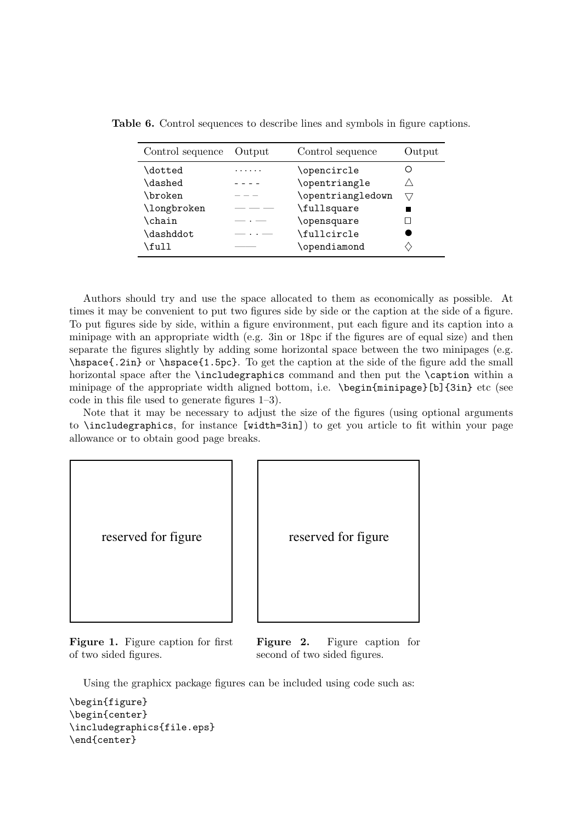| Control sequence | Output | Control sequence  | Output    |
|------------------|--------|-------------------|-----------|
| \dotted          |        | \opencircle       |           |
| <b>\dashed</b>   |        | \opentriangle     |           |
| \broken          |        | \opentriangledown | $\sqrt{}$ |
| \longbroken      |        | \fullsquare       |           |
| \chain           |        | \opensquare       |           |
| \dashddot        |        | \fullcircle       |           |
| \full            |        | \opendiamond      |           |

**Table 6.** Control sequences to describe lines and symbols in figure captions.

Authors should try and use the space allocated to them as economically as possible. At times it may be convenient to put two figures side by side or the caption at the side of a figure. To put figures side by side, within a figure environment, put each figure and its caption into a minipage with an appropriate width (e.g. 3in or 18pc if the figures are of equal size) and then separate the figures slightly by adding some horizontal space between the two minipages (e.g. \hspace{.2in} or \hspace{1.5pc}. To get the caption at the side of the figure add the small horizontal space after the **\includegraphics** command and then put the **\caption** within a minipage of the appropriate width aligned bottom, i.e. \begin{minipage}[b]{3in} etc (see code in this file used to generate figures 1–3).

Note that it may be necessary to adjust the size of the figures (using optional arguments to \includegraphics, for instance [width=3in]) to get you article to fit within your page allowance or to obtain good page breaks.

```
reserved for figure
```
**Figure 1.** Figure caption for first of two sided figures.

reserved for figure

**Figure 2.** Figure caption for second of two sided figures.

Using the graphicx package figures can be included using code such as:

```
\begin{figure}
\begin{center}
\includegraphics{file.eps}
\end{center}
```